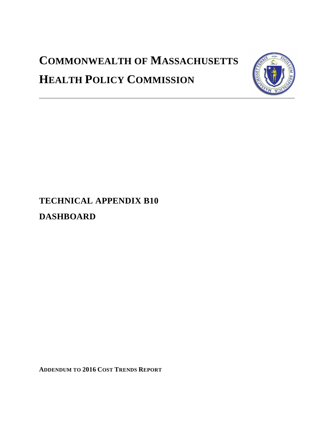# **COMMONWEALTH OF MASSACHUSETTS HEALTH POLICY COMMISSION**



# **TECHNICAL APPENDIX B10 DASHBOARD**

**ADDENDUM TO 2016 COST TRENDS REPORT**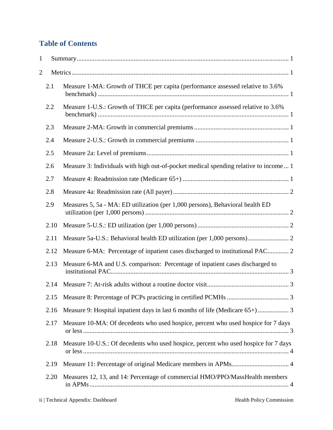# **Table of Contents**

| 1              |     |      |                                                                                       |
|----------------|-----|------|---------------------------------------------------------------------------------------|
| $\overline{c}$ |     |      |                                                                                       |
|                | 2.1 |      | Measure 1-MA: Growth of THCE per capita (performance assessed relative to 3.6%        |
|                | 2.2 |      | Measure 1-U.S.: Growth of THCE per capita (performance assessed relative to 3.6%      |
|                | 2.3 |      |                                                                                       |
|                | 2.4 |      |                                                                                       |
|                | 2.5 |      |                                                                                       |
|                | 2.6 |      | Measure 3: Individuals with high out-of-pocket medical spending relative to income  1 |
|                | 2.7 |      |                                                                                       |
|                | 2.8 |      |                                                                                       |
|                | 2.9 |      | Measures 5, 5a - MA: ED utilization (per 1,000 persons), Behavioral health ED         |
|                |     | 2.10 |                                                                                       |
|                |     | 2.11 |                                                                                       |
|                |     | 2.12 | Measure 6-MA: Percentage of inpatient cases discharged to institutional PAC 2         |
|                |     | 2.13 | Measure 6-MA and U.S. comparison: Percentage of inpatient cases discharged to         |
|                |     | 2.14 |                                                                                       |
|                |     |      |                                                                                       |
|                |     | 2.16 |                                                                                       |
|                |     | 2.17 | Measure 10-MA: Of decedents who used hospice, percent who used hospice for 7 days     |
|                |     | 2.18 | Measure 10-U.S.: Of decedents who used hospice, percent who used hospice for 7 days   |
|                |     | 2.19 |                                                                                       |
|                |     | 2.20 | Measures 12, 13, and 14: Percentage of commercial HMO/PPO/MassHealth members          |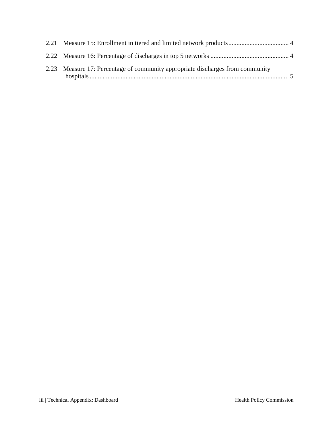| 2.23 Measure 17: Percentage of community appropriate discharges from community |  |
|--------------------------------------------------------------------------------|--|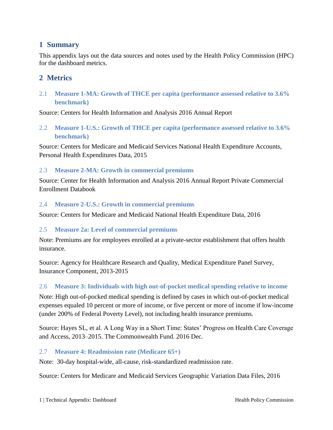# <span id="page-3-0"></span>**1 Summary**

This appendix lays out the data sources and notes used by the Health Policy Commission (HPC) for the dashboard metrics.

# <span id="page-3-1"></span>**2 Metrics**

<span id="page-3-2"></span>2.1 **Measure 1-MA: Growth of THCE per capita (performance assessed relative to 3.6% benchmark)**

Source: Centers for Health Information and Analysis 2016 Annual Report

<span id="page-3-3"></span>2.2 **Measure 1-U.S.: Growth of THCE per capita (performance assessed relative to 3.6% benchmark)**

Source: Centers for Medicare and Medicaid Services National Health Expenditure Accounts, Personal Health Expenditures Data, 2015

#### <span id="page-3-4"></span>2.3 **Measure 2-MA: Growth in commercial premiums**

Source: Center for Health Information and Analysis 2016 Annual Report Private Commercial Enrollment Databook

#### <span id="page-3-5"></span>2.4 **Measure 2-U.S.: Growth in commercial premiums**

Source: Centers for Medicare and Medicaid National Health Expenditure Data, 2016

#### <span id="page-3-6"></span>2.5 **Measure 2a: Level of commercial premiums**

Note: Premiums are for employees enrolled at a private-sector establishment that offers health insurance.

Source: Agency for Healthcare Research and Quality, Medical Expenditure Panel Survey, Insurance Component, 2013-2015

#### <span id="page-3-7"></span>2.6 **Measure 3: Individuals with high out-of-pocket medical spending relative to income**

Note: High out-of-pocked medical spending is defined by cases in which out-of-pocket medical expenses equaled 10 percent or more of income, or five percent or more of income if low-income (under 200% of Federal Poverty Level), not including health insurance premiums.

Source: Hayes SL, et al. A Long Way in a Short Time: States' Progress on Health Care Coverage and Access, 2013–2015. The Commonwealth Fund. 2016 Dec.

#### <span id="page-3-8"></span>2.7 **Measure 4: Readmission rate (Medicare 65+)**

Note: 30-day hospital-wide, all-cause, risk-standardized readmission rate.

Source: Centers for Medicare and Medicaid Services Geographic Variation Data Files, 2016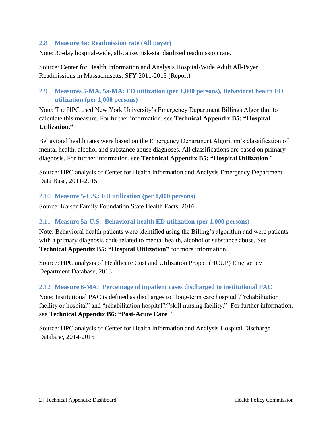#### <span id="page-4-0"></span>2.8 **Measure 4a: Readmission rate (All payer)**

Note: 30-day hospital-wide, all-cause, risk-standardized readmission rate.

Source: Center for Health Information and Analysis Hospital-Wide Adult All-Payer Readmissions in Massachusetts: SFY 2011-2015 (Report)

# <span id="page-4-1"></span>2.9 **Measures 5-MA, 5a-MA: ED utilization (per 1,000 persons), Behavioral health ED utilization (per 1,000 persons)**

Note: The HPC used New York University's Emergency Department Billings Algorithm to calculate this measure. For further information, see **Technical Appendix B5: "Hospital Utilization."**

Behavioral health rates were based on the Emergency Department Algorithm's classification of mental health, alcohol and substance abuse diagnoses. All classifications are based on primary diagnosis. For further information, see **Technical Appendix B5: "Hospital Utilization**."

Source: HPC analysis of Center for Health Information and Analysis Emergency Department Data Base, 2011-2015

#### <span id="page-4-2"></span>2.10 **Measure 5-U.S.: ED utilization (per 1,000 persons)**

Source: Kaiser Family Foundation State Health Facts, 2016

#### <span id="page-4-3"></span>2.11 **Measure 5a-U.S.: Behavioral health ED utilization (per 1,000 persons)**

Note: Behavioral health patients were identified using the Billing's algorithm and were patients with a primary diagnosis code related to mental health, alcohol or substance abuse. See **Technical Appendix B5: "Hospital Utilization"** for more information.

Source: HPC analysis of Healthcare Cost and Utilization Project (HCUP) Emergency Department Database, 2013

#### <span id="page-4-4"></span>2.12 **Measure 6-MA: Percentage of inpatient cases discharged to institutional PAC**

Note: Institutional PAC is defined as discharges to "long-term care hospital"/"rehabilitation facility or hospital" and "rehabilitation hospital"/"skill nursing facility." For further information, see **Technical Appendix B6: "Post-Acute Care**."

Source: HPC analysis of Center for Health Information and Analysis Hospital Discharge Database, 2014-2015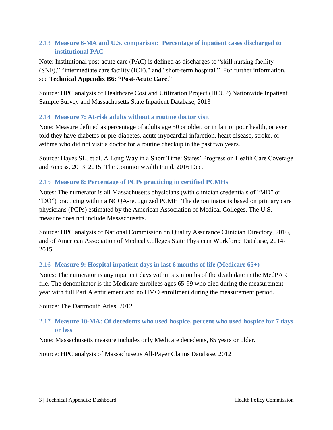# <span id="page-5-0"></span>2.13 **Measure 6-MA and U.S. comparison: Percentage of inpatient cases discharged to institutional PAC**

Note: Institutional post-acute care (PAC) is defined as discharges to "skill nursing facility (SNF)," "intermediate care facility (ICF)," and "short-term hospital." For further information, see **Technical Appendix B6: "Post-Acute Care**."

Source: HPC analysis of Healthcare Cost and Utilization Project (HCUP) Nationwide Inpatient Sample Survey and Massachusetts State Inpatient Database, 2013

#### <span id="page-5-1"></span>2.14 **Measure 7: At-risk adults without a routine doctor visit**

Note: Measure defined as percentage of adults age 50 or older, or in fair or poor health, or ever told they have diabetes or pre-diabetes, acute myocardial infarction, heart disease, stroke, or asthma who did not visit a doctor for a routine checkup in the past two years.

Source: Hayes SL, et al. A Long Way in a Short Time: States' Progress on Health Care Coverage and Access, 2013–2015. The Commonwealth Fund. 2016 Dec.

# <span id="page-5-2"></span>2.15 **Measure 8: Percentage of PCPs practicing in certified PCMHs**

Notes: The numerator is all Massachusetts physicians (with clinician credentials of "MD" or "DO") practicing within a NCQA-recognized PCMH. The denominator is based on primary care physicians (PCPs) estimated by the American Association of Medical Colleges. The U.S. measure does not include Massachusetts.

Source: HPC analysis of National Commission on Quality Assurance Clinician Directory, 2016, and of American Association of Medical Colleges State Physician Workforce Database, 2014- 2015

# <span id="page-5-3"></span>2.16 **Measure 9: Hospital inpatient days in last 6 months of life (Medicare 65+)**

Notes: The numerator is any inpatient days within six months of the death date in the MedPAR file. The denominator is the Medicare enrollees ages 65-99 who died during the measurement year with full Part A entitlement and no HMO enrollment during the measurement period.

Source: The Dartmouth Atlas, 2012

# <span id="page-5-4"></span>2.17 **Measure 10-MA: Of decedents who used hospice, percent who used hospice for 7 days or less**

Note: Massachusetts measure includes only Medicare decedents, 65 years or older.

Source: HPC analysis of Massachusetts All-Payer Claims Database, 2012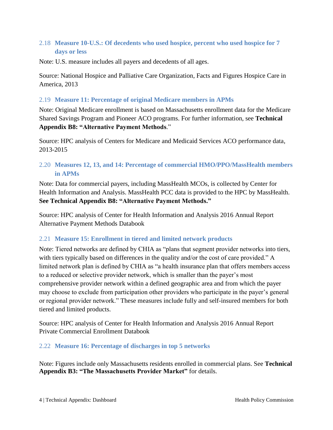#### <span id="page-6-0"></span>2.18 **Measure 10-U.S.: Of decedents who used hospice, percent who used hospice for 7 days or less**

Note: U.S. measure includes all payers and decedents of all ages.

Source: National Hospice and Palliative Care Organization, Facts and Figures Hospice Care in America, 2013

#### <span id="page-6-1"></span>2.19 **Measure 11: Percentage of original Medicare members in APMs**

Note: Original Medicare enrollment is based on Massachusetts enrollment data for the Medicare Shared Savings Program and Pioneer ACO programs. For further information, see **Technical Appendix B8: "Alternative Payment Methods**."

Source: HPC analysis of Centers for Medicare and Medicaid Services ACO performance data, 2013-2015

# <span id="page-6-2"></span>2.20 **Measures 12, 13, and 14: Percentage of commercial HMO/PPO/MassHealth members in APMs**

Note: Data for commercial payers, including MassHealth MCOs, is collected by Center for Health Information and Analysis. MassHealth PCC data is provided to the HPC by MassHealth. **See Technical Appendix B8: "Alternative Payment Methods."**

Source: HPC analysis of Center for Health Information and Analysis 2016 Annual Report Alternative Payment Methods Databook

# <span id="page-6-3"></span>2.21 **Measure 15: Enrollment in tiered and limited network products**

Note: Tiered networks are defined by CHIA as "plans that segment provider networks into tiers, with tiers typically based on differences in the quality and/or the cost of care provided." A limited network plan is defined by CHIA as "a health insurance plan that offers members access to a reduced or selective provider network, which is smaller than the payer's most comprehensive provider network within a defined geographic area and from which the payer may choose to exclude from participation other providers who participate in the payer's general or regional provider network." These measures include fully and self-insured members for both tiered and limited products.

Source: HPC analysis of Center for Health Information and Analysis 2016 Annual Report Private Commercial Enrollment Databook

#### <span id="page-6-4"></span>2.22 **Measure 16: Percentage of discharges in top 5 networks**

Note: Figures include only Massachusetts residents enrolled in commercial plans. See **Technical Appendix B3: "The Massachusetts Provider Market"** for details.